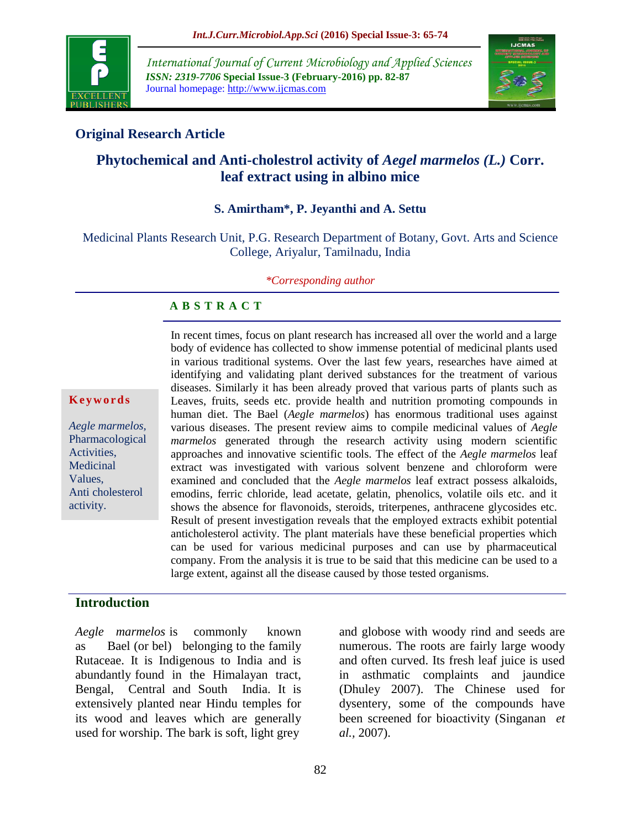

*International Journal of Current Microbiology and Applied Sciences ISSN: 2319-7706* **Special Issue-3 (February-2016) pp. 82-87** Journal homepage: http://www.ijcmas.com



# **Original Research Article**

# **Phytochemical and Anti-cholestrol activity of** *Aegel marmelos (L.)* **Corr. leaf extract using in albino mice**

### **S. Amirtham\*, P. Jeyanthi and A. Settu**

Medicinal Plants Research Unit, P.G. Research Department of Botany, Govt. Arts and Science College, Ariyalur, Tamilnadu, India

#### *\*Corresponding author*

#### **A B S T R A C T**

#### **K e y w o r d s**

*Aegle marmelos,*  Pharmacological Activities, Medicinal Values, Anti cholesterol activity.

In recent times, focus on plant research has increased all over the world and a large body of evidence has collected to show immense potential of medicinal plants used in various traditional systems. Over the last few years, researches have aimed at identifying and validating plant derived substances for the treatment of various diseases. Similarly it has been already proved that various parts of plants such as Leaves, fruits, seeds etc. provide health and nutrition promoting compounds in human diet. The Bael (*Aegle marmelos*) has enormous traditional uses against various diseases. The present review aims to compile medicinal values of *Aegle marmelos* generated through the research activity using modern scientific approaches and innovative scientific tools. The effect of the *Aegle marmelos* leaf extract was investigated with various solvent benzene and chloroform were examined and concluded that the *Aegle marmelos* leaf extract possess alkaloids, emodins, ferric chloride, lead acetate, gelatin, phenolics, volatile oils etc. and it shows the absence for flavonoids, steroids, triterpenes, anthracene glycosides etc. Result of present investigation reveals that the employed extracts exhibit potential anticholesterol activity. The plant materials have these beneficial properties which can be used for various medicinal purposes and can use by pharmaceutical company. From the analysis it is true to be said that this medicine can be used to a large extent, against all the disease caused by those tested organisms.

#### **Introduction**

*Aegle marmelos* is commonly known as Bael (or bel) belonging to the family Rutaceae. It is Indigenous to India and is abundantly found in the Himalayan tract, Bengal, Central and South India. It is extensively planted near Hindu temples for its wood and leaves which are generally used for worship. The bark is soft, light grey

and globose with woody rind and seeds are numerous. The roots are fairly large woody and often curved. Its fresh leaf juice is used in asthmatic complaints and jaundice (Dhuley 2007). The Chinese used for dysentery, some of the compounds have been screened for bioactivity (Singanan *et al.,* 2007).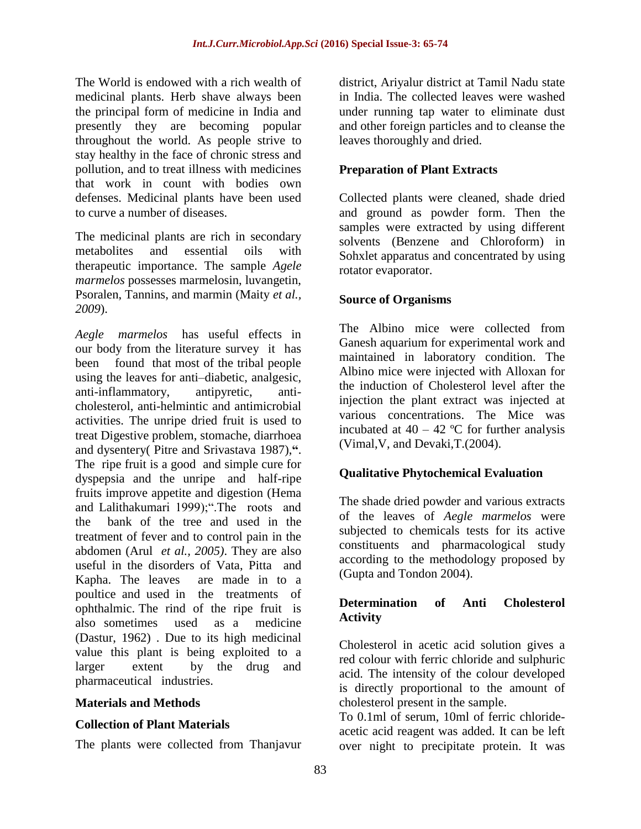The World is endowed with a rich wealth of medicinal plants. Herb shave always been the principal form of medicine in India and presently they are becoming popular throughout the world. As people strive to stay healthy in the face of chronic stress and pollution, and to treat illness with medicines that work in count with bodies own defenses. Medicinal plants have been used to curve a number of diseases.

The medicinal plants are rich in secondary metabolites and essential oils with therapeutic importance. The sample *Agele marmelos* possesses marmelosin, luvangetin, Psoralen, Tannins, and marmin (Maity *et al., 2009*).

*Aegle marmelos* has useful effects in our body from the literature survey it has been found that most of the tribal people using the leaves for anti–diabetic, analgesic, anti-inflammatory, antipyretic, anticholesterol, anti-helmintic and antimicrobial activities. The unripe dried fruit is used to treat Digestive problem, stomache, diarrhoea and dysentery( Pitre and Srivastava 1987),**"**. The ripe fruit is a good and simple cure for dyspepsia and the unripe and half-ripe fruits improve appetite and digestion (Hema and Lalithakumari 1999);".The roots and the bank of the tree and used in the treatment of fever and to control pain in the abdomen (Arul *et al., 2005)*. They are also useful in the disorders of Vata, Pitta and Kapha. The leaves are made in to a poultice and used in the treatments of ophthalmic. The rind of the ripe fruit is also sometimes used as a medicine (Dastur, 1962) . Due to its high medicinal value this plant is being exploited to a larger extent by the drug and pharmaceutical industries.

### **Materials and Methods**

### **Collection of Plant Materials**

The plants were collected from Thanjavur

district, Ariyalur district at Tamil Nadu state in India. The collected leaves were washed under running tap water to eliminate dust and other foreign particles and to cleanse the leaves thoroughly and dried.

## **Preparation of Plant Extracts**

Collected plants were cleaned, shade dried and ground as powder form. Then the samples were extracted by using different solvents (Benzene and Chloroform) in Sohxlet apparatus and concentrated by using rotator evaporator.

### **Source of Organisms**

The Albino mice were collected from Ganesh aquarium for experimental work and maintained in laboratory condition. The Albino mice were injected with Alloxan for the induction of Cholesterol level after the injection the plant extract was injected at various concentrations. The Mice was incubated at  $40 - 42$  °C for further analysis (Vimal,V, and Devaki,T.(2004).

### **Qualitative Phytochemical Evaluation**

The shade dried powder and various extracts of the leaves of *Aegle marmelos* were subjected to chemicals tests for its active constituents and pharmacological study according to the methodology proposed by (Gupta and Tondon 2004).

# **Determination of Anti Cholesterol Activity**

Cholesterol in acetic acid solution gives a red colour with ferric chloride and sulphuric acid. The intensity of the colour developed is directly proportional to the amount of cholesterol present in the sample.

To 0.1ml of serum, 10ml of ferric chlorideacetic acid reagent was added. It can be left over night to precipitate protein. It was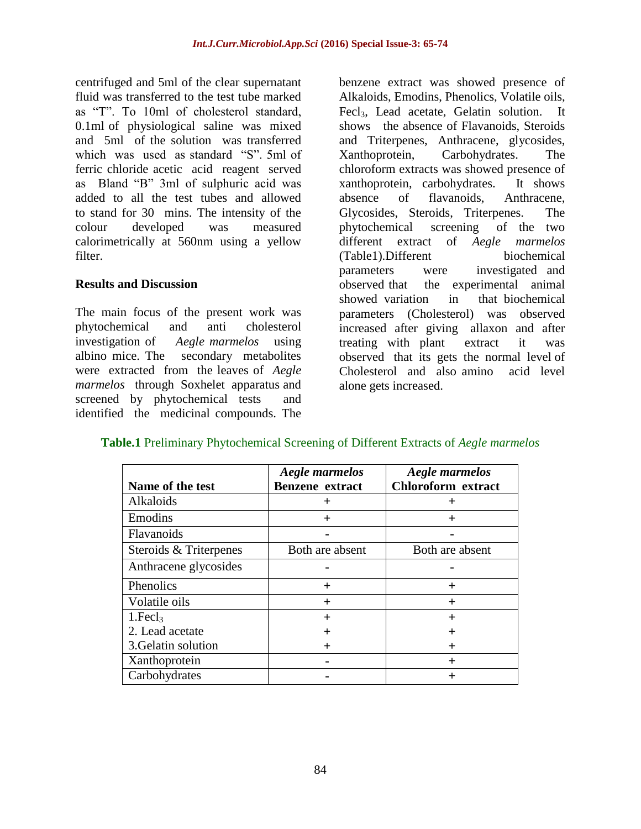centrifuged and 5ml of the clear supernatant fluid was transferred to the test tube marked as "T". To 10ml of cholesterol standard, 0.1ml of physiological saline was mixed and 5ml of the solution was transferred which was used as standard "S". 5ml of ferric chloride acetic acid reagent served as Bland "B" 3ml of sulphuric acid was added to all the test tubes and allowed to stand for 30 mins. The intensity of the colour developed was measured calorimetrically at 560nm using a yellow filter.

#### **Results and Discussion**

The main focus of the present work was phytochemical and anti cholesterol investigation of *Aegle marmelos* using albino mice. The secondary metabolites were extracted from the leaves of *Aegle marmelos* through Soxhelet apparatus and screened by phytochemical tests and identified the medicinal compounds. The

benzene extract was showed presence of Alkaloids, Emodins, Phenolics, Volatile oils, Fecl<sub>3</sub>, Lead acetate, Gelatin solution. It shows the absence of Flavanoids, Steroids and Triterpenes, Anthracene, glycosides, Xanthoprotein, Carbohydrates. The chloroform extracts was showed presence of xanthoprotein, carbohydrates. It shows absence of flavanoids, Anthracene, Glycosides, Steroids, Triterpenes. The phytochemical screening of the two different extract of *Aegle marmelos*  (Table1).Different biochemical parameters were investigated and observed that the experimental animal showed variation in that biochemical parameters (Cholesterol) was observed increased after giving allaxon and after treating with plant extract it was observed that its gets the normal level of Cholesterol and also amino acid level alone gets increased.

| Name of the test       | <b>Aegle marmelos</b><br><b>Benzene</b> extract | Aegle marmelos<br><b>Chloroform</b> extract |
|------------------------|-------------------------------------------------|---------------------------------------------|
| <b>Alkaloids</b>       | $\pm$                                           | ┿                                           |
| Emodins                | $\div$                                          | $\boldsymbol{+}$                            |
| <b>Flavanoids</b>      |                                                 |                                             |
| Steroids & Triterpenes | Both are absent                                 | Both are absent                             |
| Anthracene glycosides  |                                                 |                                             |
| Phenolics              | $\pm$                                           | $\,{}^+$                                    |
| Volatile oils          | $\ddot{}$                                       | $\,{}^+$                                    |
| 1.Fecl <sub>3</sub>    | $+$                                             | $\pm$                                       |
| 2. Lead acetate        |                                                 | ┿                                           |
| 3. Gelatin solution    |                                                 | ┿                                           |
| Xanthoprotein          |                                                 | $\,{}^+$                                    |
| Carbohydrates          |                                                 | ┿                                           |

#### **Table.1** Preliminary Phytochemical Screening of Different Extracts of *Aegle marmelos*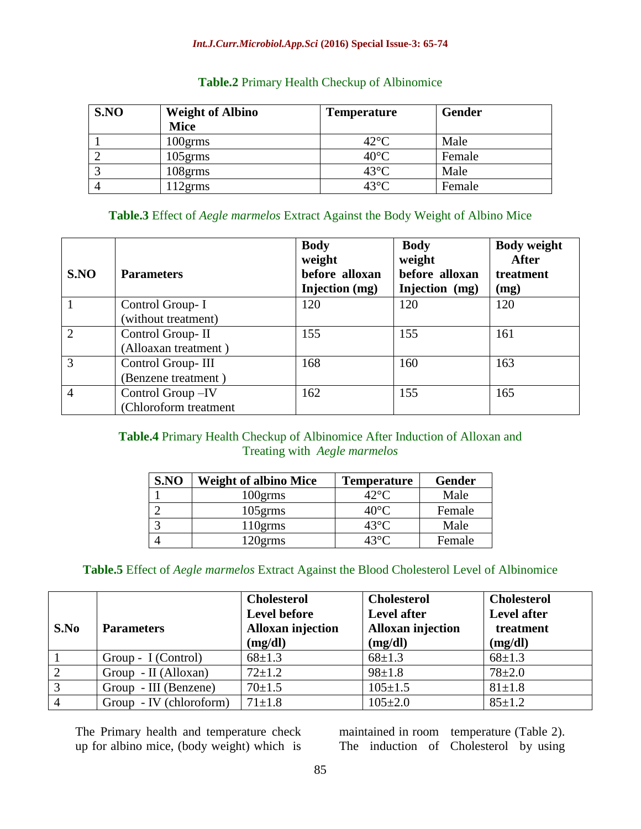#### *Int.J.Curr.Microbiol.App.Sci* **(2016) Special Issue-3: 65-74**

| S.NO | <b>Weight of Albino</b> | <b>Temperature</b> | <b>Gender</b> |
|------|-------------------------|--------------------|---------------|
|      | <b>Mice</b>             |                    |               |
|      | $100$ grms              | $42^{\circ}$ C     | Male          |
|      | $105$ grms              | $40^{\circ}$ C     | Female        |
|      | $108$ g $\rm{cms}$      | $43^{\circ}$ C     | Male          |
|      | 12grms                  | $43^{\circ}$ C     | Female        |

#### **Table.2** Primary Health Checkup of Albinomice

# **Table.3** Effect of *Aegle marmelos* Extract Against the Body Weight of Albino Mice

| S.NO           | <b>Parameters</b>                         | <b>Body</b><br>weight<br>before alloxan<br>Injection (mg) | <b>Body</b><br>weight<br>before alloxan<br>Injection (mg) | <b>Body weight</b><br><b>After</b><br>treatment<br>(mg) |
|----------------|-------------------------------------------|-----------------------------------------------------------|-----------------------------------------------------------|---------------------------------------------------------|
|                | Control Group-I<br>(without treatment)    | 120                                                       | 120                                                       | 120                                                     |
|                | Control Group-II<br>(Alloaxan treatment)  | 155                                                       | 155                                                       | 161                                                     |
| 3              | Control Group-III<br>(Benzene treatment)  | 168                                                       | 160                                                       | 163                                                     |
| $\overline{4}$ | Control Group-IV<br>(Chloroform treatment | 162                                                       | 155                                                       | 165                                                     |

# **Table.4** Primary Health Checkup of Albinomice After Induction of Alloxan and Treating with *Aegle marmelos*

| S.NO | <b>Weight of albino Mice</b> | <b>Temperature</b> | Gender |
|------|------------------------------|--------------------|--------|
|      | 100grms                      | 42°C               | Male   |
|      | $105$ grms                   | $40^{\circ}$ C     | Female |
|      | $110$ grms                   | $43^{\circ}$ C     | Male   |
|      | 20grms                       | 13°C               | Female |

### **Table.5** Effect of *Aegle marmelos* Extract Against the Blood Cholesterol Level of Albinomice

| S.No | <b>Parameters</b>       | <b>Cholesterol</b><br><b>Level before</b><br><b>Alloxan injection</b><br>(mg/dl) | <b>Cholesterol</b><br><b>Level after</b><br><b>Alloxan injection</b><br>(mg/dl) | <b>Cholesterol</b><br><b>Level after</b><br>treatment<br>(mg/dl) |
|------|-------------------------|----------------------------------------------------------------------------------|---------------------------------------------------------------------------------|------------------------------------------------------------------|
|      | Group - I (Control)     | $68 \pm 1.3$                                                                     | $68 \pm 1.3$                                                                    | $68 \pm 1.3$                                                     |
|      | Group - II (Alloxan)    | $72 \pm 1.2$                                                                     | $98 \pm 1.8$                                                                    | $78 + 2.0$                                                       |
| 3    | Group - III (Benzene)   | $70+1.5$                                                                         | $105 \pm 1.5$                                                                   | $81 \pm 1.8$                                                     |
|      | Group - IV (chloroform) | $71 \pm 1.8$                                                                     | $105 \pm 2.0$                                                                   | $85 \pm 1.2$                                                     |

The Primary health and temperature check up for albino mice, (body weight) which is

maintained in room temperature (Table 2). The induction of Cholesterol by using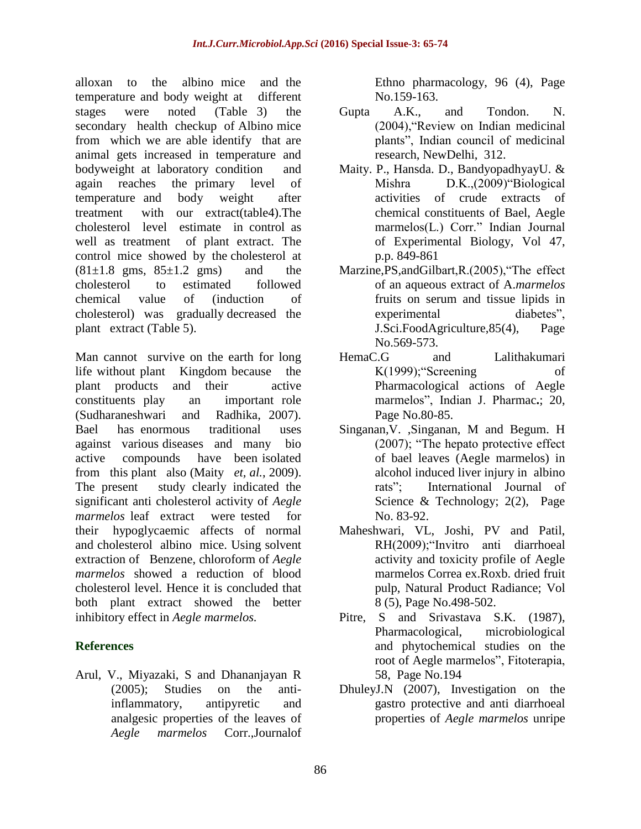alloxan to the albino mice and the temperature and body weight at different stages were noted (Table 3) the secondary health checkup of Albino mice from which we are able identify that are animal gets increased in temperature and bodyweight at laboratory condition and again reaches the primary level of temperature and body weight after treatment with our extract(table4).The cholesterol level estimate in control as well as treatment of plant extract. The control mice showed by the cholesterol at  $(81\pm1.8 \text{ gms}, 85\pm1.2 \text{ gms})$  and the cholesterol to estimated followed chemical value of (induction of cholesterol) was gradually decreased the plant extract (Table 5).

Man cannot survive on the earth for long life without plant Kingdom because the plant products and their active constituents play an important role (Sudharaneshwari and Radhika, 2007). Bael has enormous traditional uses against various diseases and many bio active compounds have been isolated from this plant also (Maity *et, al.*, 2009). The present study clearly indicated the significant anti cholesterol activity of *Aegle marmelos* leaf extract were tested for their hypoglycaemic affects of normal and cholesterol albino mice. Using solvent extraction of Benzene, chloroform of *Aegle marmelos* showed a reduction of blood cholesterol level. Hence it is concluded that both plant extract showed the better inhibitory effect in *Aegle marmelos.*

# **References**

Arul, V., Miyazaki, S and Dhananjayan R (2005); Studies on the antiinflammatory, antipyretic and analgesic properties of the leaves of *Aegle marmelos* Corr.,Journalof

Ethno pharmacology, 96 (4), Page No.159-163.

- Gupta A.K., and Tondon. N. (2004),"Review on Indian medicinal plants", Indian council of medicinal research, NewDelhi, 312.
- Maity. P., Hansda. D., BandyopadhyayU. & Mishra D.K.,(2009)"Biological activities of crude extracts of chemical constituents of Bael, Aegle marmelos(L.) Corr." Indian Journal of Experimental Biology, Vol 47, p.p. 849-861
- Marzine,PS,andGilbart,R.(2005),"The effect of an aqueous extract of A.*marmelos* fruits on serum and tissue lipids in experimental diabetes", J.Sci.FoodAgriculture,85(4), Page No.569-573.
- HemaC.G and Lalithakumari K(1999);"Screening of Pharmacological actions of Aegle marmelos", Indian J. Pharmac**.**; 20, Page No.80-85.
- Singanan,V. ,Singanan, M and Begum. H (2007); "The hepato protective effect of bael leaves (Aegle marmelos) in alcohol induced liver injury in albino rats"; International Journal of Science & Technology; 2(2), Page No. 83-92.
- Maheshwari, VL, Joshi, PV and Patil, RH(2009);"Invitro anti diarrhoeal activity and toxicity profile of Aegle marmelos Correa ex.Roxb. dried fruit pulp, Natural Product Radiance; Vol 8 (5), Page No.498-502.
- Pitre. S and Srivastava S.K. (1987), Pharmacological, microbiological and phytochemical studies on the root of Aegle marmelos", Fitoterapia, 58, Page No.194
- DhuleyJ.N (2007), Investigation on the gastro protective and anti diarrhoeal properties of *Aegle marmelos* unripe